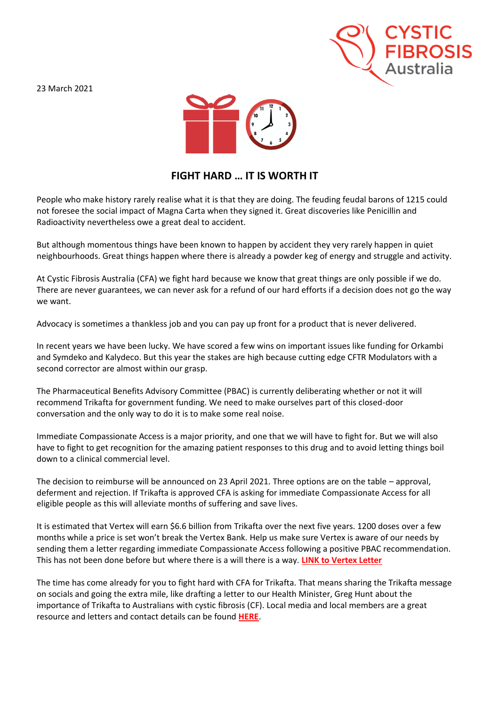23 March 2021





## **FIGHT HARD … IT IS WORTH IT**

People who make history rarely realise what it is that they are doing. The feuding feudal barons of 1215 could not foresee the social impact of Magna Carta when they signed it. Great discoveries like Penicillin and Radioactivity nevertheless owe a great deal to accident.

But although momentous things have been known to happen by accident they very rarely happen in quiet neighbourhoods. Great things happen where there is already a powder keg of energy and struggle and activity.

At Cystic Fibrosis Australia (CFA) we fight hard because we know that great things are only possible if we do. There are never guarantees, we can never ask for a refund of our hard efforts if a decision does not go the way we want.

Advocacy is sometimes a thankless job and you can pay up front for a product that is never delivered.

In recent years we have been lucky. We have scored a few wins on important issues like funding for Orkambi and Symdeko and Kalydeco. But this year the stakes are high because cutting edge CFTR Modulators with a second corrector are almost within our grasp.

The Pharmaceutical Benefits Advisory Committee (PBAC) is currently deliberating whether or not it will recommend Trikafta for government funding. We need to make ourselves part of this closed-door conversation and the only way to do it is to make some real noise.

Immediate Compassionate Access is a major priority, and one that we will have to fight for. But we will also have to fight to get recognition for the amazing patient responses to this drug and to avoid letting things boil down to a clinical commercial level.

The decision to reimburse will be announced on 23 April 2021. Three options are on the table – approval, deferment and rejection. If Trikafta is approved CFA is asking for immediate Compassionate Access for all eligible people as this will alleviate months of suffering and save lives.

It is estimated that Vertex will earn \$6.6 billion from Trikafta over the next five years. 1200 doses over a few months while a price is set won't break the Vertex Bank. Help us make sure Vertex is aware of our needs by sending them a letter regarding immediate Compassionate Access following a positive PBAC recommendation. This has not been done before but where there is a will there is a way. **[LINK to Vertex Letter](https://www.cysticfibrosis.org.au/getmedia/430b4277-86f7-40b1-bbb4-89b0582b40e2/COMMUNITY-LETTER-TO-VERTEX-26-3-21.pdf.aspx)**

The time has come already for you to fight hard with CFA for Trikafta. That means sharing the Trikafta message on socials and going the extra mile, like drafting a letter to our Health Minister, Greg Hunt about the importance of Trikafta to Australians with cystic fibrosis (CF). Local media and local members are a great resource and letters and contact details can be found **[HERE](https://www.cysticfibrosis.org.au/advocacy/trikafta-advocacy-plan)**.